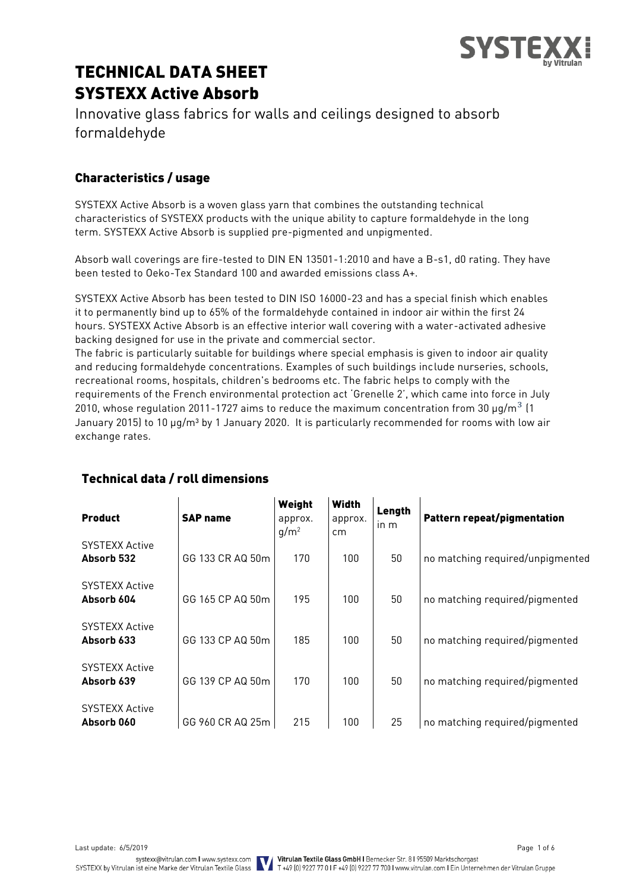

# TECHNICAL DATA SHEET SYSTEXX Active Absorb

Innovative glass fabrics for walls and ceilings designed to absorb formaldehyde

# Characteristics / usage

SYSTEXX Active Absorb is a woven glass yarn that combines the outstanding technical characteristics of SYSTEXX products with the unique ability to capture formaldehyde in the long term. SYSTEXX Active Absorb is supplied pre-pigmented and unpigmented.

Absorb wall coverings are fire-tested to DIN EN 13501-1:2010 and have a B-s1, d0 rating. They have been tested to Oeko-Tex Standard 100 and awarded emissions class A+.

SYSTEXX Active Absorb has been tested to DIN ISO 16000-23 and has a special finish which enables it to permanently bind up to 65% of the formaldehyde contained in indoor air within the first 24 hours. SYSTEXX Active Absorb is an effective interior wall covering with a water-activated adhesive backing designed for use in the private and commercial sector.

The fabric is particularly suitable for buildings where special emphasis is given to indoor air quality and reducing formaldehyde concentrations. Examples of such buildings include nurseries, schools, recreational rooms, hospitals, children's bedrooms etc. The fabric helps to comply with the requirements of the French environmental protection act 'Grenelle 2', which came into force in July 2010, whose regulation 2011-1727 aims to reduce the maximum concentration from 30  $\mu$ g/m<sup>3</sup> (1 January 2015) to 10 µg/m<sup>3</sup> by 1 January 2020. It is particularly recommended for rooms with low air exchange rates.

| <b>Product</b>                      | <b>SAP name</b>  | Weight<br>approx.<br>$q/m^2$ | <b>Width</b><br>approx.<br>cm | Length<br>in m | Pattern repeat/pigmentation      |
|-------------------------------------|------------------|------------------------------|-------------------------------|----------------|----------------------------------|
| <b>SYSTEXX Active</b><br>Absorb 532 | GG 133 CR AQ 50m | 170                          | 100                           | 50             | no matching required/unpigmented |
| <b>SYSTEXX Active</b><br>Absorb 604 | GG 165 CP AQ 50m | 195                          | 100                           | 50             | no matching required/pigmented   |
| <b>SYSTEXX Active</b><br>Absorb 633 | GG 133 CP AQ 50m | 185                          | 100                           | 50             | no matching required/pigmented   |
| <b>SYSTEXX Active</b><br>Absorb 639 | GG 139 CP AQ 50m | 170                          | 100                           | 50             | no matching required/pigmented   |
| <b>SYSTEXX Active</b><br>Absorb 060 | GG 960 CR AQ 25m | 215                          | 100                           | 25             | no matching required/pigmented   |

# Technical data / roll dimensions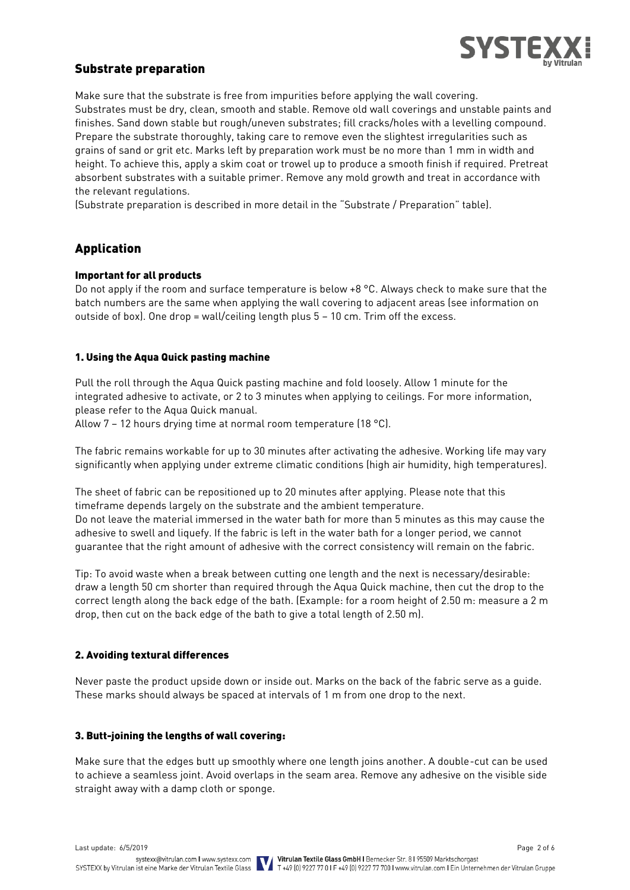

### Substrate preparation

Make sure that the substrate is free from impurities before applying the wall covering. Substrates must be dry, clean, smooth and stable. Remove old wall coverings and unstable paints and finishes. Sand down stable but rough/uneven substrates; fill cracks/holes with a levelling compound. Prepare the substrate thoroughly, taking care to remove even the slightest irregularities such as grains of sand or grit etc. Marks left by preparation work must be no more than 1 mm in width and height. To achieve this, apply a skim coat or trowel up to produce a smooth finish if required. Pretreat absorbent substrates with a suitable primer. Remove any mold growth and treat in accordance with the relevant regulations.

(Substrate preparation is described in more detail in the "Substrate / Preparation" table).

# Application

#### Important for all products

Do not apply if the room and surface temperature is below +8 °C. Always check to make sure that the batch numbers are the same when applying the wall covering to adjacent areas (see information on outside of box). One drop = wall/ceiling length plus 5 – 10 cm. Trim off the excess.

#### 1. Using the Aqua Quick pasting machine

Pull the roll through the Aqua Quick pasting machine and fold loosely. Allow 1 minute for the integrated adhesive to activate, or 2 to 3 minutes when applying to ceilings. For more information, please refer to the Aqua Quick manual.

Allow 7 – 12 hours drying time at normal room temperature (18 °C).

The fabric remains workable for up to 30 minutes after activating the adhesive. Working life may vary significantly when applying under extreme climatic conditions (high air humidity, high temperatures).

The sheet of fabric can be repositioned up to 20 minutes after applying. Please note that this timeframe depends largely on the substrate and the ambient temperature. Do not leave the material immersed in the water bath for more than 5 minutes as this may cause the adhesive to swell and liquefy. If the fabric is left in the water bath for a longer period, we cannot guarantee that the right amount of adhesive with the correct consistency will remain on the fabric.

Tip: To avoid waste when a break between cutting one length and the next is necessary/desirable: draw a length 50 cm shorter than required through the Aqua Quick machine, then cut the drop to the correct length along the back edge of the bath. (Example: for a room height of 2.50 m: measure a 2 m drop, then cut on the back edge of the bath to give a total length of 2.50 m).

#### 2. Avoiding textural differences

Never paste the product upside down or inside out. Marks on the back of the fabric serve as a guide. These marks should always be spaced at intervals of 1 m from one drop to the next.

#### 3. Butt-joining the lengths of wall covering:

Make sure that the edges butt up smoothly where one length joins another. A double-cut can be used to achieve a seamless joint. Avoid overlaps in the seam area. Remove any adhesive on the visible side straight away with a damp cloth or sponge.

Last update: 6/5/2019 Page 2 of 6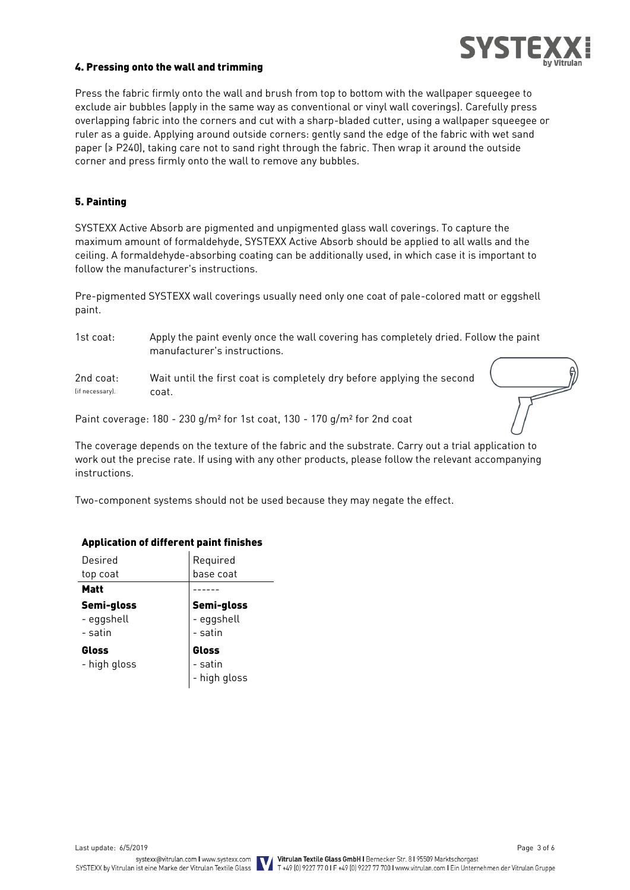

#### 4. Pressing onto the wall and trimming

Press the fabric firmly onto the wall and brush from top to bottom with the wallpaper squeegee to exclude air bubbles (apply in the same way as conventional or vinyl wall coverings). Carefully press overlapping fabric into the corners and cut with a sharp-bladed cutter, using a wallpaper squeegee or ruler as a guide. Applying around outside corners: gently sand the edge of the fabric with wet sand paper (≥ P240), taking care not to sand right through the fabric. Then wrap it around the outside corner and press firmly onto the wall to remove any bubbles.

#### 5. Painting

SYSTEXX Active Absorb are pigmented and unpigmented glass wall coverings. To capture the maximum amount of formaldehyde, SYSTEXX Active Absorb should be applied to all walls and the ceiling. A formaldehyde-absorbing coating can be additionally used, in which case it is important to follow the manufacturer's instructions.

Pre-pigmented SYSTEXX wall coverings usually need only one coat of pale-colored matt or eggshell paint.

1st coat: Apply the paint evenly once the wall covering has completely dried. Follow the paint manufacturer's instructions.

2nd coat: Wait until the first coat is completely dry before applying the second (if necessary). coat.

Paint coverage: 180 - 230 g/m² for 1st coat, 130 - 170 g/m² for 2nd coat

The coverage depends on the texture of the fabric and the substrate. Carry out a trial application to work out the precise rate. If using with any other products, please follow the relevant accompanying instructions.

Two-component systems should not be used because they may negate the effect.

#### Application of different paint finishes

| Desired      | Required     |
|--------------|--------------|
| top coat     | base coat    |
| Matt         |              |
| Semi-gloss   | Semi-gloss   |
| - eggshell   | - eggshell   |
| - satin      | - satin      |
| Gloss        | Gloss        |
| - high gloss | - satin      |
|              | - high gloss |

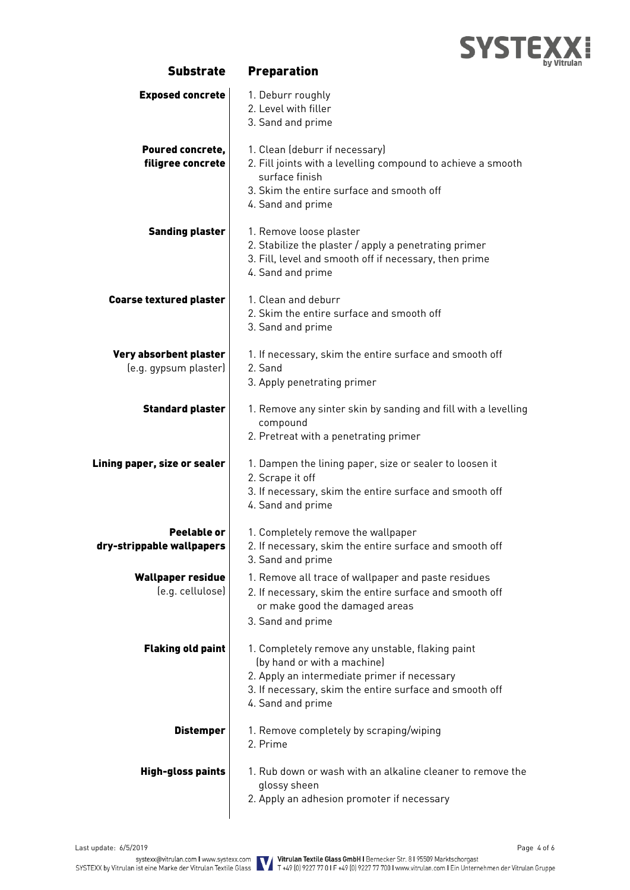

| <b>Exposed concrete</b>                         | 1. Deburr roughly<br>2. Level with filler<br>3. Sand and prime                                                                                                                                                  |
|-------------------------------------------------|-----------------------------------------------------------------------------------------------------------------------------------------------------------------------------------------------------------------|
| Poured concrete,<br>filigree concrete           | 1. Clean (deburr if necessary)<br>2. Fill joints with a levelling compound to achieve a smooth<br>surface finish<br>3. Skim the entire surface and smooth off<br>4. Sand and prime                              |
| <b>Sanding plaster</b>                          | 1. Remove loose plaster<br>2. Stabilize the plaster / apply a penetrating primer<br>3. Fill, level and smooth off if necessary, then prime<br>4. Sand and prime                                                 |
| <b>Coarse textured plaster</b>                  | 1. Clean and deburr<br>2. Skim the entire surface and smooth off<br>3. Sand and prime                                                                                                                           |
| Very absorbent plaster<br>(e.g. gypsum plaster) | 1. If necessary, skim the entire surface and smooth off<br>2. Sand<br>3. Apply penetrating primer                                                                                                               |
| <b>Standard plaster</b>                         | 1. Remove any sinter skin by sanding and fill with a levelling<br>compound<br>2. Pretreat with a penetrating primer                                                                                             |
| Lining paper, size or sealer                    | 1. Dampen the lining paper, size or sealer to loosen it<br>2. Scrape it off<br>3. If necessary, skim the entire surface and smooth off<br>4. Sand and prime                                                     |
| Peelable or<br>dry-strippable wallpapers        | 1. Completely remove the wallpaper<br>2. If necessary, skim the entire surface and smooth off<br>3. Sand and prime                                                                                              |
| <b>Wallpaper residue</b><br>(e.g. cellulose)    | 1. Remove all trace of wallpaper and paste residues<br>2. If necessary, skim the entire surface and smooth off<br>or make good the damaged areas<br>3. Sand and prime                                           |
| <b>Flaking old paint</b>                        | 1. Completely remove any unstable, flaking paint<br>(by hand or with a machine)<br>2. Apply an intermediate primer if necessary<br>3. If necessary, skim the entire surface and smooth off<br>4. Sand and prime |
| <b>Distemper</b>                                | 1. Remove completely by scraping/wiping<br>2. Prime                                                                                                                                                             |
| <b>High-gloss paints</b>                        | 1. Rub down or wash with an alkaline cleaner to remove the<br>glossy sheen<br>2. Apply an adhesion promoter if necessary                                                                                        |

Substrate Preparation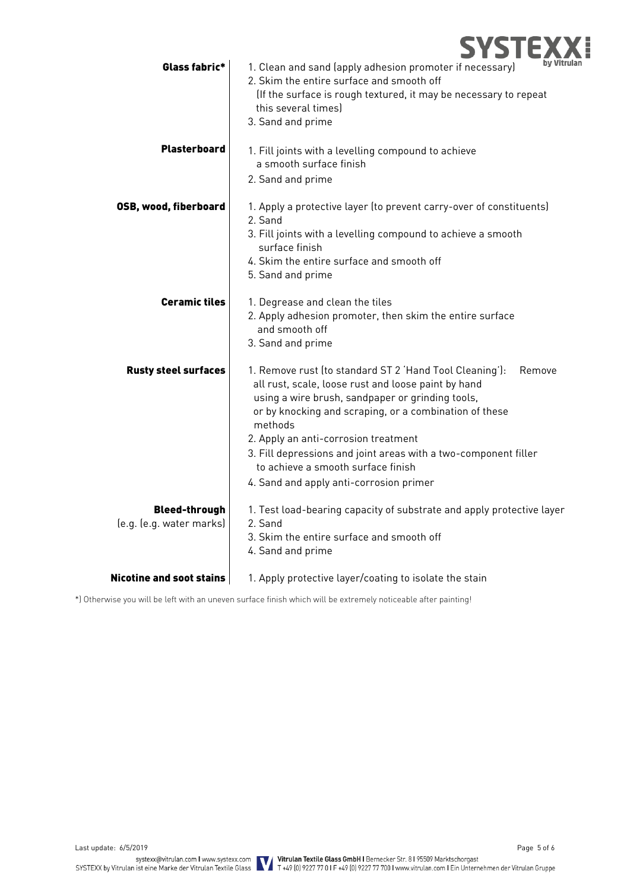

| Glass fabric*                                    | by Vit<br>1. Clean and sand (apply adhesion promoter if necessary)<br>2. Skim the entire surface and smooth off<br>(If the surface is rough textured, it may be necessary to repeat<br>this several times)<br>3. Sand and prime                                                                                                                                                                                                               |
|--------------------------------------------------|-----------------------------------------------------------------------------------------------------------------------------------------------------------------------------------------------------------------------------------------------------------------------------------------------------------------------------------------------------------------------------------------------------------------------------------------------|
| <b>Plasterboard</b>                              | 1. Fill joints with a levelling compound to achieve<br>a smooth surface finish<br>2. Sand and prime                                                                                                                                                                                                                                                                                                                                           |
| <b>OSB, wood, fiberboard</b>                     | 1. Apply a protective layer (to prevent carry-over of constituents)<br>2. Sand<br>3. Fill joints with a levelling compound to achieve a smooth<br>surface finish<br>4. Skim the entire surface and smooth off<br>5. Sand and prime                                                                                                                                                                                                            |
| <b>Ceramic tiles</b>                             | 1. Degrease and clean the tiles<br>2. Apply adhesion promoter, then skim the entire surface<br>and smooth off<br>3. Sand and prime                                                                                                                                                                                                                                                                                                            |
| <b>Rusty steel surfaces</b>                      | 1. Remove rust (to standard ST 2 'Hand Tool Cleaning'):<br>Remove<br>all rust, scale, loose rust and loose paint by hand<br>using a wire brush, sandpaper or grinding tools,<br>or by knocking and scraping, or a combination of these<br>methods<br>2. Apply an anti-corrosion treatment<br>3. Fill depressions and joint areas with a two-component filler<br>to achieve a smooth surface finish<br>4. Sand and apply anti-corrosion primer |
| <b>Bleed-through</b><br>(e.g. (e.g. water marks) | 1. Test load-bearing capacity of substrate and apply protective layer<br>2. Sand<br>3. Skim the entire surface and smooth off<br>4. Sand and prime                                                                                                                                                                                                                                                                                            |
| <b>Nicotine and soot stains</b>                  | 1. Apply protective layer/coating to isolate the stain                                                                                                                                                                                                                                                                                                                                                                                        |

\*) Otherwise you will be left with an uneven surface finish which will be extremely noticeable after painting!